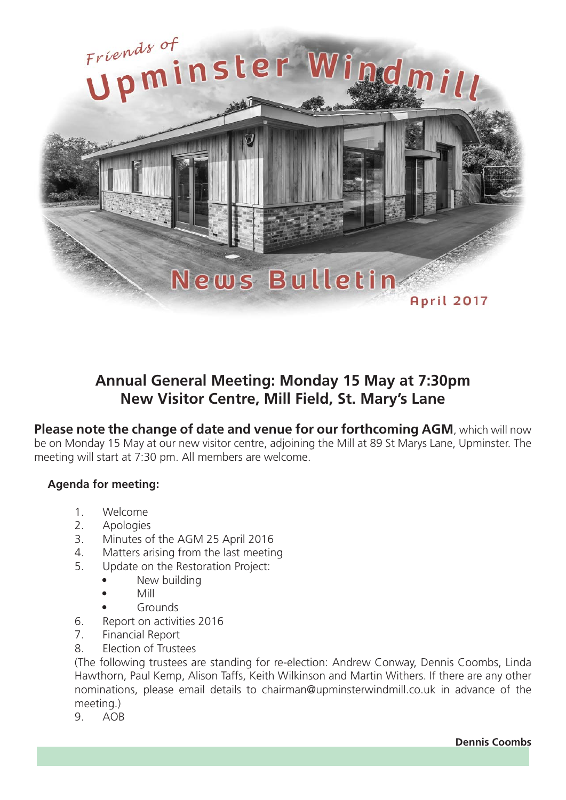

## **Annual General Meeting: Monday 15 May at 7:30pm New Visitor Centre, Mill Field, St. Mary's Lane**

**Please note the change of date and venue for our forthcoming AGM**, which will now be on Monday 15 May at our new visitor centre, adjoining the Mill at 89 St Marys Lane, Upminster. The meeting will start at 7:30 pm. All members are welcome.

## **Agenda for meeting:**

- 1. Welcome
- 2. Apologies
- 3. Minutes of the AGM 25 April 2016
- 4. Matters arising from the last meeting
- 5. Update on the Restoration Project:
	- New building
		- Mill
		- Grounds
- 6. Report on activities 2016
- 7. Financial Report
- 8. Election of Trustees

(The following trustees are standing for re-election: Andrew Conway, Dennis Coombs, Linda Hawthorn, Paul Kemp, Alison Taffs, Keith Wilkinson and Martin Withers. If there are any other nominations, please email details to chairman@upminsterwindmill.co.uk in advance of the meeting.)

9. AOB